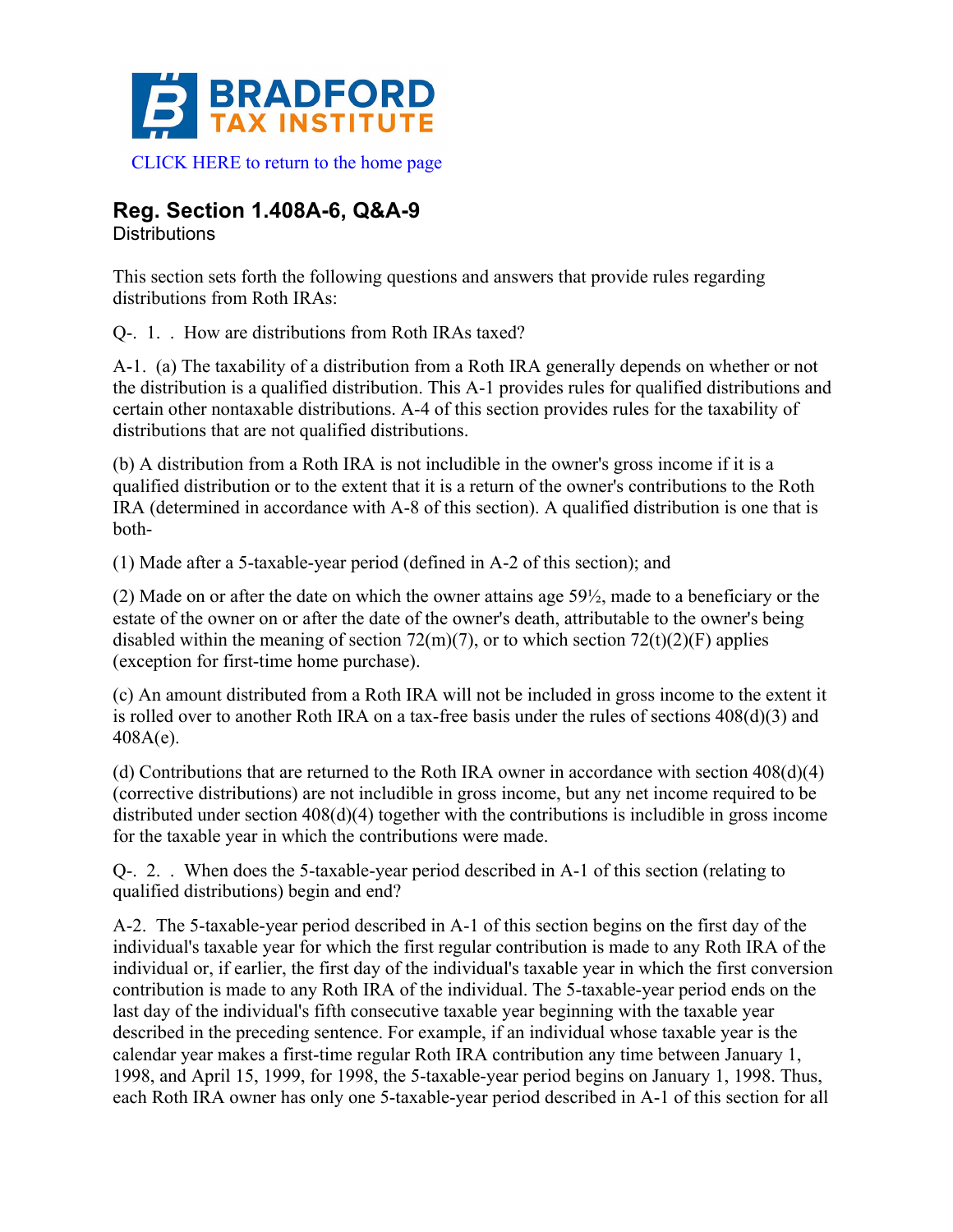

**Reg. Section 1.408A-6, Q&A-9**

**Distributions** 

This section sets forth the following questions and answers that provide rules regarding distributions from Roth IRAs:

Q-. 1. . How are distributions from Roth IRAs taxed?

A-1. (a) The taxability of a distribution from a Roth IRA generally depends on whether or not the distribution is a qualified distribution. This A-1 provides rules for qualified distributions and certain other nontaxable distributions. A-4 of this section provides rules for the taxability of distributions that are not qualified distributions.

(b) A distribution from a Roth IRA is not includible in the owner's gross income if it is a qualified distribution or to the extent that it is a return of the owner's contributions to the Roth IRA (determined in accordance with A-8 of this section). A qualified distribution is one that is both-

(1) Made after a 5-taxable-year period (defined in A-2 of this section); and

(2) Made on or after the date on which the owner attains age 59½, made to a beneficiary or the estate of the owner on or after the date of the owner's death, attributable to the owner's being disabled within the meaning of section  $72(m)(7)$ , or to which section  $72(t)(2)(F)$  applies (exception for first-time home purchase).

(c) An amount distributed from a Roth IRA will not be included in gross income to the extent it is rolled over to another Roth IRA on a tax-free basis under the rules of sections 408(d)(3) and 408A(e).

(d) Contributions that are returned to the Roth IRA owner in accordance with section 408(d)(4) (corrective distributions) are not includible in gross income, but any net income required to be distributed under section 408(d)(4) together with the contributions is includible in gross income for the taxable year in which the contributions were made.

Q-. 2. . When does the 5-taxable-year period described in A-1 of this section (relating to qualified distributions) begin and end?

A-2. The 5-taxable-year period described in A-1 of this section begins on the first day of the individual's taxable year for which the first regular contribution is made to any Roth IRA of the individual or, if earlier, the first day of the individual's taxable year in which the first conversion contribution is made to any Roth IRA of the individual. The 5-taxable-year period ends on the last day of the individual's fifth consecutive taxable year beginning with the taxable year described in the preceding sentence. For example, if an individual whose taxable year is the calendar year makes a first-time regular Roth IRA contribution any time between January 1, 1998, and April 15, 1999, for 1998, the 5-taxable-year period begins on January 1, 1998. Thus, each Roth IRA owner has only one 5-taxable-year period described in A-1 of this section for all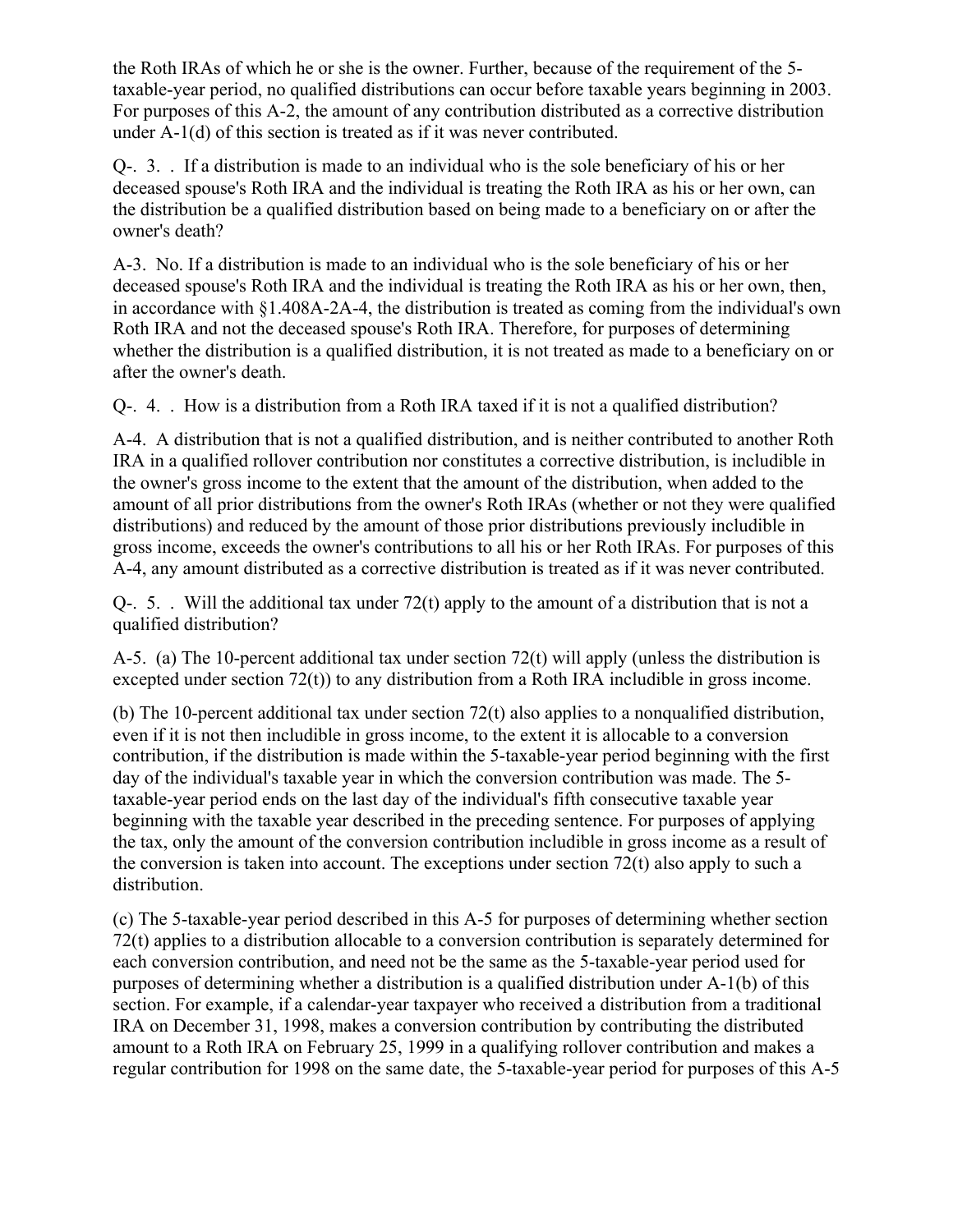the Roth IRAs of which he or she is the owner. Further, because of the requirement of the 5 taxable-year period, no qualified distributions can occur before taxable years beginning in 2003. For purposes of this A-2, the amount of any contribution distributed as a corrective distribution under A-1(d) of this section is treated as if it was never contributed.

Q-. 3. . If a distribution is made to an individual who is the sole beneficiary of his or her deceased spouse's Roth IRA and the individual is treating the Roth IRA as his or her own, can the distribution be a qualified distribution based on being made to a beneficiary on or after the owner's death?

A-3. No. If a distribution is made to an individual who is the sole beneficiary of his or her deceased spouse's Roth IRA and the individual is treating the Roth IRA as his or her own, then, in accordance with §1.408A-2A-4, the distribution is treated as coming from the individual's own Roth IRA and not the deceased spouse's Roth IRA. Therefore, for purposes of determining whether the distribution is a qualified distribution, it is not treated as made to a beneficiary on or after the owner's death.

Q-. 4. . How is a distribution from a Roth IRA taxed if it is not a qualified distribution?

A-4. A distribution that is not a qualified distribution, and is neither contributed to another Roth IRA in a qualified rollover contribution nor constitutes a corrective distribution, is includible in the owner's gross income to the extent that the amount of the distribution, when added to the amount of all prior distributions from the owner's Roth IRAs (whether or not they were qualified distributions) and reduced by the amount of those prior distributions previously includible in gross income, exceeds the owner's contributions to all his or her Roth IRAs. For purposes of this A-4, any amount distributed as a corrective distribution is treated as if it was never contributed.

Q-. 5. . Will the additional tax under 72(t) apply to the amount of a distribution that is not a qualified distribution?

A-5. (a) The 10-percent additional tax under section 72(t) will apply (unless the distribution is excepted under section 72(t)) to any distribution from a Roth IRA includible in gross income.

(b) The 10-percent additional tax under section 72(t) also applies to a nonqualified distribution, even if it is not then includible in gross income, to the extent it is allocable to a conversion contribution, if the distribution is made within the 5-taxable-year period beginning with the first day of the individual's taxable year in which the conversion contribution was made. The 5 taxable-year period ends on the last day of the individual's fifth consecutive taxable year beginning with the taxable year described in the preceding sentence. For purposes of applying the tax, only the amount of the conversion contribution includible in gross income as a result of the conversion is taken into account. The exceptions under section 72(t) also apply to such a distribution.

(c) The 5-taxable-year period described in this A-5 for purposes of determining whether section 72(t) applies to a distribution allocable to a conversion contribution is separately determined for each conversion contribution, and need not be the same as the 5-taxable-year period used for purposes of determining whether a distribution is a qualified distribution under A-1(b) of this section. For example, if a calendar-year taxpayer who received a distribution from a traditional IRA on December 31, 1998, makes a conversion contribution by contributing the distributed amount to a Roth IRA on February 25, 1999 in a qualifying rollover contribution and makes a regular contribution for 1998 on the same date, the 5-taxable-year period for purposes of this A-5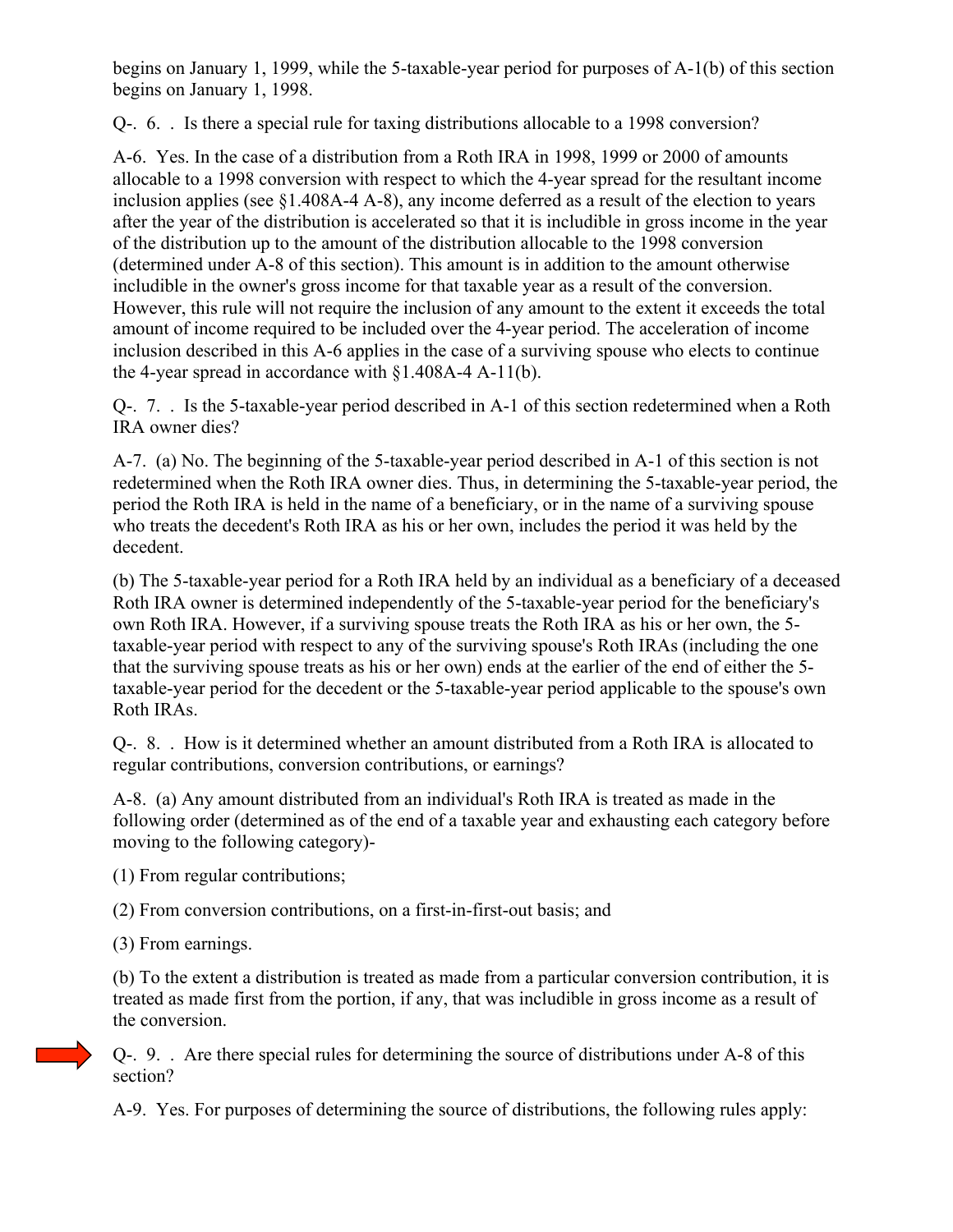begins on January 1, 1999, while the 5-taxable-year period for purposes of A-1(b) of this section begins on January 1, 1998.

Q-. 6. . Is there a special rule for taxing distributions allocable to a 1998 conversion?

A-6. Yes. In the case of a distribution from a Roth IRA in 1998, 1999 or 2000 of amounts allocable to a 1998 conversion with respect to which the 4-year spread for the resultant income inclusion applies (see §1.408A-4 A-8), any income deferred as a result of the election to years after the year of the distribution is accelerated so that it is includible in gross income in the year of the distribution up to the amount of the distribution allocable to the 1998 conversion (determined under A-8 of this section). This amount is in addition to the amount otherwise includible in the owner's gross income for that taxable year as a result of the conversion. However, this rule will not require the inclusion of any amount to the extent it exceeds the total amount of income required to be included over the 4-year period. The acceleration of income inclusion described in this A-6 applies in the case of a surviving spouse who elects to continue the 4-year spread in accordance with §1.408A-4 A-11(b).

Q-. 7. . Is the 5-taxable-year period described in A-1 of this section redetermined when a Roth IRA owner dies?

A-7. (a) No. The beginning of the 5-taxable-year period described in A-1 of this section is not redetermined when the Roth IRA owner dies. Thus, in determining the 5-taxable-year period, the period the Roth IRA is held in the name of a beneficiary, or in the name of a surviving spouse who treats the decedent's Roth IRA as his or her own, includes the period it was held by the decedent.

(b) The 5-taxable-year period for a Roth IRA held by an individual as a beneficiary of a deceased Roth IRA owner is determined independently of the 5-taxable-year period for the beneficiary's own Roth IRA. However, if a surviving spouse treats the Roth IRA as his or her own, the 5 taxable-year period with respect to any of the surviving spouse's Roth IRAs (including the one that the surviving spouse treats as his or her own) ends at the earlier of the end of either the 5 taxable-year period for the decedent or the 5-taxable-year period applicable to the spouse's own Roth IRAs.

Q-. 8. . How is it determined whether an amount distributed from a Roth IRA is allocated to regular contributions, conversion contributions, or earnings?

A-8. (a) Any amount distributed from an individual's Roth IRA is treated as made in the following order (determined as of the end of a taxable year and exhausting each category before moving to the following category)-

(1) From regular contributions;

(2) From conversion contributions, on a first-in-first-out basis; and

(3) From earnings.

(b) To the extent a distribution is treated as made from a particular conversion contribution, it is treated as made first from the portion, if any, that was includible in gross income as a result of the conversion.

Q-. 9. . Are there special rules for determining the source of distributions under A-8 of this section?

A-9. Yes. For purposes of determining the source of distributions, the following rules apply: